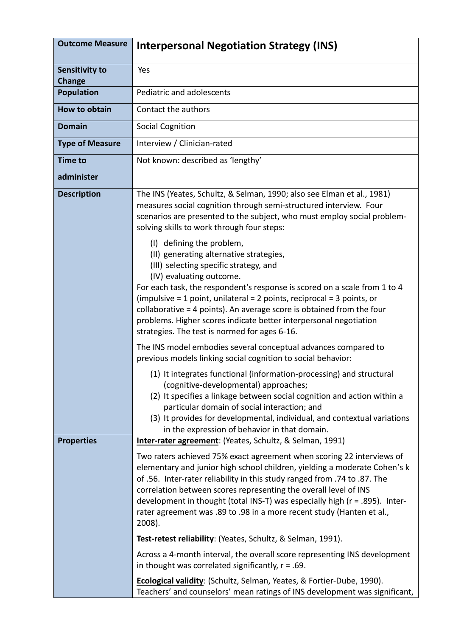| <b>Outcome Measure</b>                 | <b>Interpersonal Negotiation Strategy (INS)</b>                                                                                                                                                                                                                                                                                                                                                                                                                                                                                   |
|----------------------------------------|-----------------------------------------------------------------------------------------------------------------------------------------------------------------------------------------------------------------------------------------------------------------------------------------------------------------------------------------------------------------------------------------------------------------------------------------------------------------------------------------------------------------------------------|
| <b>Sensitivity to</b><br><b>Change</b> | Yes                                                                                                                                                                                                                                                                                                                                                                                                                                                                                                                               |
| <b>Population</b>                      | Pediatric and adolescents                                                                                                                                                                                                                                                                                                                                                                                                                                                                                                         |
| <b>How to obtain</b>                   | Contact the authors                                                                                                                                                                                                                                                                                                                                                                                                                                                                                                               |
| <b>Domain</b>                          | <b>Social Cognition</b>                                                                                                                                                                                                                                                                                                                                                                                                                                                                                                           |
| <b>Type of Measure</b>                 | Interview / Clinician-rated                                                                                                                                                                                                                                                                                                                                                                                                                                                                                                       |
| <b>Time to</b>                         | Not known: described as 'lengthy'                                                                                                                                                                                                                                                                                                                                                                                                                                                                                                 |
| administer                             |                                                                                                                                                                                                                                                                                                                                                                                                                                                                                                                                   |
| <b>Description</b>                     | The INS (Yeates, Schultz, & Selman, 1990; also see Elman et al., 1981)<br>measures social cognition through semi-structured interview. Four<br>scenarios are presented to the subject, who must employ social problem-<br>solving skills to work through four steps:<br>(I) defining the problem,<br>(II) generating alternative strategies,                                                                                                                                                                                      |
|                                        | (III) selecting specific strategy, and<br>(IV) evaluating outcome.<br>For each task, the respondent's response is scored on a scale from 1 to 4<br>(impulsive $=$ 1 point, unilateral $=$ 2 points, reciprocal $=$ 3 points, or<br>collaborative = 4 points). An average score is obtained from the four<br>problems. Higher scores indicate better interpersonal negotiation<br>strategies. The test is normed for ages 6-16.                                                                                                    |
|                                        | The INS model embodies several conceptual advances compared to<br>previous models linking social cognition to social behavior:                                                                                                                                                                                                                                                                                                                                                                                                    |
|                                        | (1) It integrates functional (information-processing) and structural<br>(cognitive-developmental) approaches;<br>(2) It specifies a linkage between social cognition and action within a<br>particular domain of social interaction; and<br>(3) It provides for developmental, individual, and contextual variations<br>in the expression of behavior in that domain.                                                                                                                                                             |
| <b>Properties</b>                      | Inter-rater agreement: (Yeates, Schultz, & Selman, 1991)<br>Two raters achieved 75% exact agreement when scoring 22 interviews of<br>elementary and junior high school children, yielding a moderate Cohen's k<br>of .56. Inter-rater reliability in this study ranged from .74 to .87. The<br>correlation between scores representing the overall level of INS<br>development in thought (total INS-T) was especially high (r = .895). Inter-<br>rater agreement was .89 to .98 in a more recent study (Hanten et al.,<br>2008). |
|                                        | Test-retest reliability: (Yeates, Schultz, & Selman, 1991).                                                                                                                                                                                                                                                                                                                                                                                                                                                                       |
|                                        | Across a 4-month interval, the overall score representing INS development<br>in thought was correlated significantly, $r = .69$ .                                                                                                                                                                                                                                                                                                                                                                                                 |
|                                        | Ecological validity: (Schultz, Selman, Yeates, & Fortier-Dube, 1990).<br>Teachers' and counselors' mean ratings of INS development was significant,                                                                                                                                                                                                                                                                                                                                                                               |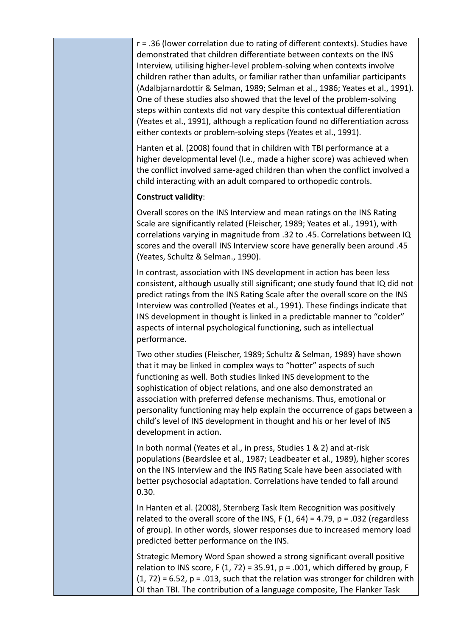r = .36 (lower correlation due to rating of different contexts). Studies have demonstrated that children differentiate between contexts on the INS Interview, utilising higher-level problem-solving when contexts involve children rather than adults, or familiar rather than unfamiliar participants (Adalbjarnardottir & Selman, 1989; Selman et al., 1986; Yeates et al., 1991). One of these studies also showed that the level of the problem-solving steps within contexts did not vary despite this contextual differentiation (Yeates et al., 1991), although a replication found no differentiation across either contexts or problem-solving steps (Yeates et al., 1991).

Hanten et al. (2008) found that in children with TBI performance at a higher developmental level (I.e., made a higher score) was achieved when the conflict involved same-aged children than when the conflict involved a child interacting with an adult compared to orthopedic controls.

## **Construct validity**:

Overall scores on the INS Interview and mean ratings on the INS Rating Scale are significantly related (Fleischer, 1989; Yeates et al., 1991), with correlations varying in magnitude from .32 to .45. Correlations between IQ scores and the overall INS Interview score have generally been around .45 (Yeates, Schultz & Selman., 1990).

In contrast, association with INS development in action has been less consistent, although usually still significant; one study found that IQ did not predict ratings from the INS Rating Scale after the overall score on the INS Interview was controlled (Yeates et al., 1991). These findings indicate that INS development in thought is linked in a predictable manner to "colder" aspects of internal psychological functioning, such as intellectual performance.

Two other studies (Fleischer, 1989; Schultz & Selman, 1989) have shown that it may be linked in complex ways to "hotter" aspects of such functioning as well. Both studies linked INS development to the sophistication of object relations, and one also demonstrated an association with preferred defense mechanisms. Thus, emotional or personality functioning may help explain the occurrence of gaps between a child's level of INS development in thought and his or her level of INS development in action.

In both normal (Yeates et al., in press, Studies 1 & 2) and at-risk populations (Beardslee et al., 1987; Leadbeater et al., 1989), higher scores on the INS Interview and the INS Rating Scale have been associated with better psychosocial adaptation. Correlations have tended to fall around 0.30.

In Hanten et al. (2008), Sternberg Task Item Recognition was positively related to the overall score of the INS,  $F(1, 64) = 4.79$ ,  $p = .032$  (regardless of group). In other words, slower responses due to increased memory load predicted better performance on the INS.

Strategic Memory Word Span showed a strong significant overall positive relation to INS score, F  $(1, 72)$  = 35.91, p = .001, which differed by group, F  $(1, 72) = 6.52$ ,  $p = .013$ , such that the relation was stronger for children with OI than TBI. The contribution of a language composite, The Flanker Task